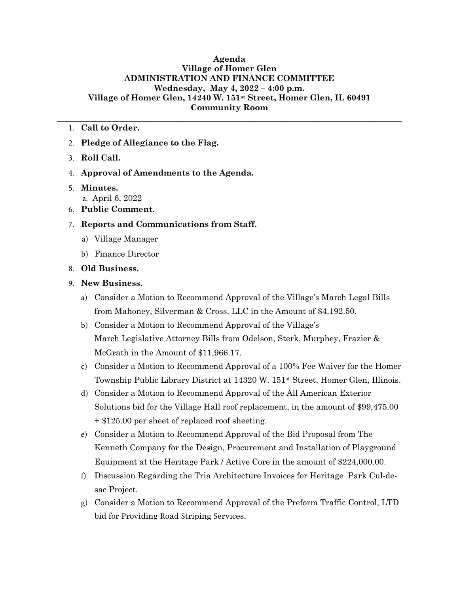## **Agenda Village of Homer Glen ADMINISTRATION AND FINANCE COMMITTEE Wednesday, May 4, 2022 – 4:00 p.m. Village of Homer Glen, 14240 W. 151st Street, Homer Glen, IL 60491 Community Room**

**\_\_\_\_\_\_\_\_\_\_\_\_\_\_\_\_\_\_\_\_\_\_\_\_\_\_\_\_\_\_\_\_\_\_\_\_\_\_\_\_\_\_\_\_\_\_\_\_\_\_\_\_\_\_\_\_\_\_\_\_\_\_\_\_\_\_\_\_\_\_\_\_\_\_\_\_\_\_\_\_**

- 1. **Call to Order.**
- 2. **Pledge of Allegiance to the Flag.**
- 3. **Roll Call.**
- 4. **Approval of Amendments to the Agenda.**
- 5. **Minutes.** a. April 6, 2022
- 6. **Public Comment.**
- 7. **Reports and Communications from Staff.**
	- a) Village Manager
	- b) Finance Director
- 8. **Old Business.**
- 9. **New Business.**
	- a) Consider a Motion to Recommend Approval of the Village's March Legal Bills from Mahoney, Silverman & Cross, LLC in the Amount of \$4,192.50.
	- b) Consider a Motion to Recommend Approval of the Village's March Legislative Attorney Bills from Odelson, Sterk, Murphey, Frazier & McGrath in the Amount of \$11,966.17.
	- c) Consider a Motion to Recommend Approval of a 100% Fee Waiver for the Homer Township Public Library District at 14320 W. 151st Street, Homer Glen, Illinois.
	- d) Consider a Motion to Recommend Approval of the All American Exterior Solutions bid for the Village Hall roof replacement, in the amount of \$99,475.00 + \$125.00 per sheet of replaced roof sheeting.
	- e) Consider a Motion to Recommend Approval of the Bid Proposal from The Kenneth Company for the Design, Procurement and Installation of Playground Equipment at the Heritage Park / Active Core in the amount of \$224,000.00.
	- f) Discussion Regarding the Tria Architecture Invoices for Heritage Park Cul-desac Project.
	- g) Consider a Motion to Recommend Approval of the Preform Traffic Control, LTD bid for Providing Road Striping Services.